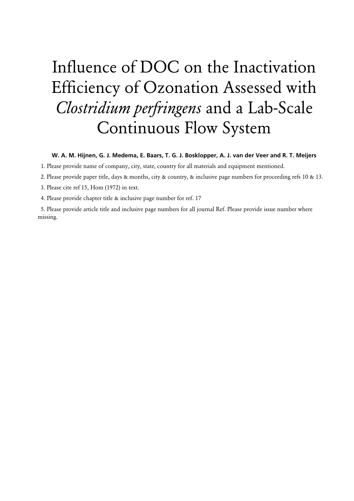# Influence of DOC on the Inactivation Efficiency of Ozonation Assessed with *Clostridium perfringens* and a Lab-Scale Continuous Flow System

#### **W. A. M. Hijnen, G. J. Medema, E. Baars, T. G. J. Bosklopper, A. J. van der Veer and R. T. Meijers**

1. Please provide name of company, city, state, country for all materials and equipment mentioned.

2. Please provide paper title, days & months, city & country, & inclusive page numbers for proceeding refs 10 & 13.

3. Please cite ref 15, Hom (1972) in text.

4. Please provide chapter title & inclusive page number for ref. 17

5. Please provide article title and inclusive page numbers for all journal Ref. Please provide issue number where missing.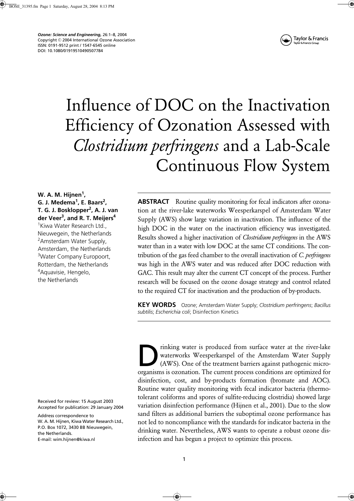*Ozone: Science and Engineering,* 26:1–8, 2004 Copyright © 2004 International Ozone Association ISSN: 0191-9512 print / 1547-6545 online DOI: 10.1080/01919510490507784



# Influence of DOC on the Inactivation Efficiency of Ozonation Assessed with *Clostridium perfringens* and a Lab-Scale Continuous Flow System

**W. A. M. Hijnen1 , G. J. Medema<sup>1</sup> , E. Baars2 , T. G. J. Bosklopper<sup>2</sup> , A. J. van der Veer<sup>3</sup> , and R. T. Meijers<sup>4</sup>**

1 Kiwa Water Research Ltd., Nieuwegein, the Netherlands <sup>2</sup> Amsterdam Water Supply, Amsterdam, the Netherlands <sup>3</sup>Water Company Europoort, Rotterdam, the Netherlands <sup>4</sup>Aquavisie, Hengelo, the Netherlands

Received for review: 15 August 2003 Accepted for publication: 29 January 2004

Address correspondence to W. A. M. Hijnen, Kiwa Water Research Ltd., P.O. Box 1072, 3430 BB Nieuwegein, the Netherlands. E-mail: wim.hijnen@kiwa.nl

**ABSTRACT** Routine quality monitoring for fecal indicators after ozonation at the river-lake waterworks Weesperkarspel of Amsterdam Water Supply (AWS) show large variation in inactivation. The influence of the high DOC in the water on the inactivation efficiency was investigated. Results showed a higher inactivation of *Clostridium perfringens* in the AWS water than in a water with low DOC at the same CT conditions. The contribution of the gas feed chamber to the overall inactivation of *C. perfringens* was high in the AWS water and was reduced after DOC reduction with GAC. This result may alter the current CT concept of the process. Further research will be focused on the ozone dosage strategy and control related to the required CT for inactivation and the production of by-products.

**KEY WORDS** Ozone; Amsterdam Water Supply; *Clostridium perfringens*; *Bacillus subtilis*; *Escherichia coli*; Disinfection Kinetics

rinking water is produced from surface water at the river-lake waterworks Weesperkarspel of the Amsterdam Water Supply (AWS). One of the treatment barriers against pathogenic micromiking water is produced from surface water at the river-lake waterworks Weesperkarspel of the Amsterdam Water Supply (AWS). One of the treatment barriers against pathogenic microorganisms is ozonation. The current process disinfection, cost, and by-products formation (bromate and AOC). Routine water quality monitoring with fecal indicator bacteria (thermotolerant coliforms and spores of sulfite-reducing clostridia) showed large variation disinfection performance (Hijnen et al., 2001). Due to the slow sand filters as additional barriers the suboptimal ozone performance has not led to noncompliance with the standards for indicator bacteria in the drinking water. Nevertheless, AWS wants to operate a robust ozone disinfection and has begun a project to optimize this process.

♦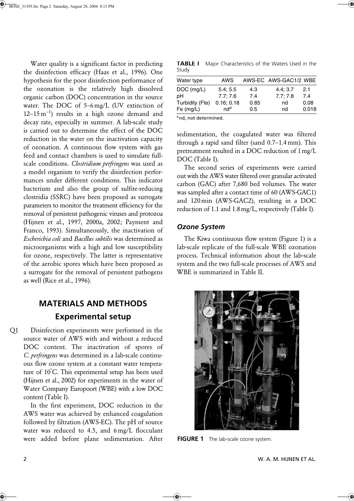Water quality is a significant factor in predicting the disinfection efficacy (Haas et al., 1996). One hypothesis for the poor disinfection performance of the ozonation is the relatively high dissolved organic carbon (DOC) concentration in the source water. The DOC of 5–6 mg/L (UV extinction of 12–15 m<sup>−</sup><sup>1</sup> ) results in a high ozone demand and decay rate, especially in summer. A lab-scale study is carried out to determine the effect of the DOC reduction in the water on the inactivation capacity of ozonation. A continuous flow system with gas feed and contact chambers is used to simulate fullscale conditions. *Clostridium perfringens* was used as a model organism to verify the disinfection performances under different conditions. This indicator bacterium and also the group of sulfite-reducing clostridia (SSRC) have been proposed as surrogate parameters to monitor the treatment efficiency for the removal of persistent pathogenic viruses and protozoa (Hijnen et al., 1997, 2000a, 2002; Payment and Franco, 1993). Simultaneously, the inactivation of *Escherichia coli* and *Bacillus subtilis* was determined as microorganisms with a high and low susceptibility for ozone, respectively. The latter is representative of the aerobic spores which have been proposed as a surrogate for the removal of persistent pathogens as well (Rice et al., 1996).

# **MATERIALS AND METHODS Experimental setup**

Disinfection experiments were performed in the source water of AWS with and without a reduced DOC content. The inactivation of spores of *C. perfringens* was determined in a lab-scale continuous flow ozone system at a constant water temperature of 10° C. This experimental setup has been used (Hijnen et al., 2002) for experiments in the water of Water Company Europoort (WBE) with a low DOC content (Table I).  $O<sub>1</sub>$ 

In the first experiment, DOC reduction in the AWS water was achieved by enhanced coagulation followed by filtration (AWS-EC). The pH of source water was reduced to 4.5, and 6 mg/L flocculant were added before plane sedimentation. After

**TABLE I** Major Characteristics of the Waters Used in the Study

| Water type      | AWS        |      | AWS-EC AWS-GAC1/2 WBE |       |
|-----------------|------------|------|-----------------------|-------|
| DOC (mg/L)      | 5.4; 5.5   | 4.3  | 4.4; 3.7              | 2.1   |
| pН              | 7.7:7.6    | 7.4  | 7.7; 7.8              | 7.4   |
| Turbidity (Fte) | 0.16; 0.18 | 0.85 | nd                    | 0.08  |
| Fe (mg/L)       | $nd^a$     | 0.5  | nd                    | 0.018 |
|                 |            |      |                       |       |

*<sup>a</sup>*nd, not determined.

sedimentation, the coagulated water was filtered through a rapid sand filter (sand 0.7–1.4 mm). This pretreatment resulted in a DOC reduction of 1mg/L DOC (Table I).

The second series of experiments were carried out with the AWS water filtered over granular activated carbon (GAC) after 7,680 bed volumes. The water was sampled after a contact time of 60 (AWS-GAC1) and 120 min (AWS-GAC2), resulting in a DOC reduction of 1.1 and 1.8mg/L, respectively (Table I).

#### *Ozone System*

The Kiwa continuous flow system (Figure 1) is a lab-scale replicate of the full-scale WBE ozonation process. Technical information about the lab-scale system and the two full-scale processes of AWS and WBE is summarized in Table II.



**FIGURE 1** The lab-scale ozone system.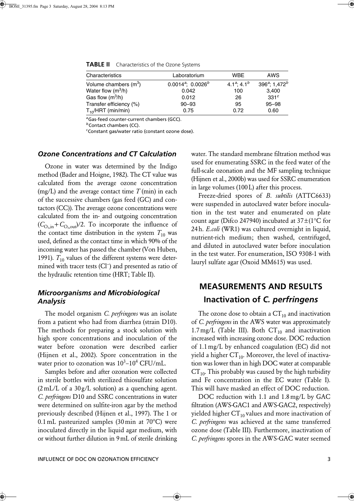| Characteristics         | Laboratorium            | <b>WBE</b>                 | AWS                                   |
|-------------------------|-------------------------|----------------------------|---------------------------------------|
| Volume chambers $(m^3)$ | $0.0014^a$ ; $0.0026^b$ | $4.1^a$ ; 4.1 <sup>b</sup> | 396 <sup>a</sup> ; 1,472 <sup>b</sup> |
| Water flow $(m^3/h)$    | 0.042                   | 100                        | 3,400                                 |
| Gas flow $(m^3/h)$      | 0.012                   | 26                         | 331 <sup>c</sup>                      |
| Transfer efficiency (%) | $90 - 93$               | 95                         | $95 - 98$                             |
| $T_{10}/HRT$ (min/min)  | 0.75                    | 0.72                       | 0.60                                  |

**TABLE II** Characteristics of the Ozone Systems

*<sup>a</sup>*Gas-feed counter-current chambers (GCC).

*b*Contact chambers (CC).

*c* Constant gas/water ratio (constant ozone dose).

#### *Ozone Concentrations and CT Calculation*

Ozone in water was determined by the Indigo method (Bader and Hoigne, 1982). The CT value was calculated from the average ozone concentration (mg/L) and the average contact time *T* (min) in each of the successive chambers (gas feed (GC) and contactors (CC)). The average ozone concentrations were calculated from the in- and outgoing concentration  $(C_{\text{O},\text{in}}+C_{\text{O},\text{out}})/2$ . To incorporate the influence of the contact time distribution in the system  $T_{10}$  was used, defined as the contact time in which 90% of the incoming water has passed the chamber (Von Huben, 1991).  $T_{10}$  values of the different systems were determined with tracer tests (Cl<sup>−</sup> ) and presented as ratio of the hydraulic retention time (HRT; Table II).

### *Microorganisms and Microbiological Analysis*

The model organism *C. perfringens* was an isolate from a patient who had from diarrhea (strain D10). The methods for preparing a stock solution with high spore concentrations and inoculation of the water before ozonation were described earlier (Hijnen et al., 2002). Spore concentration in the water prior to ozonation was  $10^3$ – $10^4$  CFU/mL.

Samples before and after ozonation were collected in sterile bottles with sterilized thiosulfate solution  $(2 \text{ mL/L of a } 30 \text{ g/L solution})$  as a quenching agent. *C. perfringens* D10 and SSRC concentrations in water were determined on sulfite-iron agar by the method previously described (Hijnen et al., 1997). The 1 or  $0.1$  mL pasteurized samples (30 min at 70 $^{\circ}$ C) were inoculated directly in the liquid agar medium, with or without further dilution in 9mL of sterile drinking water. The standard membrane filtration method was used for enumerating SSRC in the feed water of the full-scale ozonation and the MF sampling technique (Hijnen et al., 2000b) was used for SSRC enumeration in large volumes (100L) after this process.

Freeze-dried spores of *B. subtilis* (ATTC6633) were suspended in autoclaved water before inoculation in the test water and enumerated on plate count agar (Difco 247940) incubated at  $37\pm(1^{\circ}C)$  for 24h. *E.coli* (WR1) was cultured overnight in liquid, nutrient-rich medium; then washed, centrifuged, and diluted in autoclaved water before inoculation in the test water. For enumeration, ISO 9308-1 with lauryl sulfate agar (Oxoid MM615) was used.

# **MEASUREMENTS AND RESULTS Inactivation of** *C. perfringens*

The ozone dose to obtain a  $CT_{10}$  and inactivation of *C. perfringens* in the AWS water was approximately 1.7 mg/L (Table III). Both  $CT_{10}$  and inactivation increased with increasing ozone dose. DOC reduction of 1.1mg/L by enhanced coagulation (EC) did not yield a higher  $CT_{10}$ . Moreover, the level of inactivation was lower than in high DOC water at comparable  $CT_{10}$ . This probably was caused by the high turbidity and Fe concentration in the EC water (Table I). This will have masked an effect of DOC reduction.

DOC reduction with 1.1 and 1.8 mg/L by GAC filtration (AWS-GAC1 and AWS-GAC2, respectively) yielded higher  $CT_{10}$  values and more inactivation of *C. perfringens* was achieved at the same transferred ozone dose (Table III). Furthermore, inactivation of *C. perfringens* spores in the AWS-GAC water seemed

♠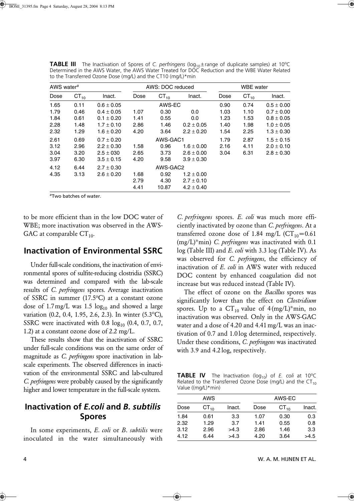| AWS water <sup>a</sup> |           | AWS: DOC reduced |      |           | <b>WBE</b> water |      |           |                |
|------------------------|-----------|------------------|------|-----------|------------------|------|-----------|----------------|
| Dose                   | $CT_{10}$ | Inact.           | Dose | $CT_{10}$ | Inact.           | Dose | $CT_{10}$ | Inact.         |
| 1.65                   | 0.11      | $0.6 \pm 0.05$   |      | AWS-EC    |                  | 0.90 | 0.74      | $0.5 \pm 0.00$ |
| 1.79                   | 0.46      | $0.4 \pm 0.05$   | 1.07 | 0.30      | 0.0              | 1.03 | 1.10      | $0.7 \pm 0.00$ |
| 1.84                   | 0.61      | $0.1 \pm 0.20$   | 1.41 | 0.55      | 0.0              | 1.23 | 1.53      | $0.8 \pm 0.05$ |
| 2.28                   | 1.48      | $1.7 \pm 0.10$   | 2.86 | 1.46      | $0.2 \pm 0.05$   | 1.40 | 1.98      | $1.0 \pm 0.05$ |
| 2.32                   | 1.29      | $1.6 \pm 0.20$   | 4.20 | 3.64      | $2.2 \pm 0.20$   | 1.54 | 2.25      | $1.3 \pm 0.30$ |
| 2.61                   | 0.69      | $0.7 \pm 0.20$   |      | AWS-GAC1  |                  | 1.79 | 2.87      | $1.5 \pm 0.15$ |
| 3.12                   | 2.96      | $2.2 \pm 0.30$   | 1.58 | 0.96      | $1.6 \pm 0.00$   | 2.16 | 4.11      | $2.0 \pm 0.10$ |
| 3.04                   | 3.20      | $2.5 \pm 030$    | 2.65 | 3.73      | $2.6 \pm 0.00$   | 3.04 | 6.31      | $2.8 \pm 0.30$ |
| 3.97                   | 6.30      | $3.5 \pm 0.15$   | 4.20 | 9.58      | $3.9 \pm 0.30$   |      |           |                |
| 4.12                   | 6.44      | $2.7 \pm 0.30$   |      | AWS-GAC2  |                  |      |           |                |
| 4.35                   | 3.13      | $2.6 \pm 0.20$   | 1.68 | 0.92      | $1.2 \pm 0.00$   |      |           |                |
|                        |           |                  | 2.79 | 4.30      | $2.7 \pm 0.10$   |      |           |                |
|                        |           |                  | 4.41 | 10.87     | $4.2 \pm 0.40$   |      |           |                |

**TABLE III** The Inactivation of Spores of C. perfringens (log<sub>10</sub> ± range of duplicate samples) at 10°C Determined in the AWS Water, the AWS Water Treated for DOC Reduction and the WBE Water Related to the Transferred Ozone Dose (mg/L) and the CT10 (mg/L)\*min

*<sup>a</sup>*Two batches of water.

to be more efficient than in the low DOC water of WBE; more inactivation was observed in the AWS-GAC at comparable  $CT_{10}$ .

### **Inactivation of Environmental SSRC**

Under full-scale conditions, the inactivation of environmental spores of sulfite-reducing clostridia (SSRC) was determined and compared with the lab-scale results of *C. perfringens* spores. Average inactivation of SSRC in summer (17.5°C) at a constant ozone dose of 1.7 mg/L was 1.5  $log_{10}$  and showed a large variation (0.2, 0.4, 1.95, 2.6, 2.3). In winter (5.3°C), SSRC were inactivated with  $0.8 \log_{10} (0.4, 0.7, 0.7, 0.7)$ 1.2) at a constant ozone dose of 2.2 mg/L.

These results show that the inactivation of SSRC under full-scale conditions was on the same order of magnitude as *C. perfringens* spore inactivation in labscale experiments. The observed differences in inactivation of the environmental SSRC and lab-cultured *C. perfringens* were probably caused by the significantly higher and lower temperature in the full-scale system.

# **Inactivation of** *E.coli* **and** *B. subtilis* **Spores**

In some experiments, *E. coli* or *B*. *subtilis* were inoculated in the water simultaneously with *C. perfringens* spores. *E. coli* was much more efficiently inactivated by ozone than *C. perfringens*. At a transferred ozone dose of 1.84 mg/L ( $CT_{10} = 0.61$ (mg/L)\*min) *C. perfringens* was inactivated with 0.1 log (Table III) and *E. coli* with 3.3 log (Table IV). As was observed for *C. perfringens,* the efficiency of inactivation of *E. coli* in AWS water with reduced DOC content by enhanced coagulation did not increase but was reduced instead (Table IV).

The effect of ozone on the *Bacillus* spores was significantly lower than the effect on *Clostridium* spores. Up to a  $CT_{10}$  value of  $4(mg/L)^*$ min, no inactivation was observed. Only in the AWS-GAC water and a dose of 4.20 and 4.41 mg/L was an inactivation of 0.7 and 1.0 log determined, respectively. Under these conditions, *C. perfringens* was inactivated with 3.9 and 4.2 log, respectively.

**TABLE IV** The Inactivation (log<sub>10</sub>) of *E. coli* at 10°C Related to the Transferred Ozone Dose (mg/L) and the  $CT_{10}$ Value ((mg/L)\*min)

|      | AWS       |        |      | AWS-EC    |        |
|------|-----------|--------|------|-----------|--------|
| Dose | $CT_{10}$ | Inact. | Dose | $CT_{10}$ | Inact. |
| 1.84 | 0.61      | 3.3    | 1.07 | 0.30      | 0.3    |
| 2.32 | 1.29      | 3.7    | 1.41 | 0.55      | 0.8    |
| 3.12 | 2.96      | >4.3   | 2.86 | 1.46      | 3.3    |
| 4.12 | 6.44      | >4.3   | 4.20 | 3.64      | >4.5   |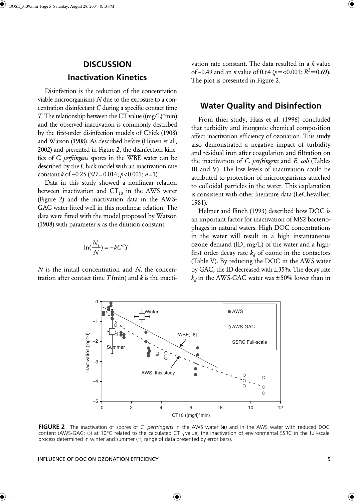# **DISCUSSION Inactivation Kinetics**

Disinfection is the reduction of the concentration viable microorganisms *N* due to the exposure to a concentration disinfectant *C* during a specific contact time *T*. The relationship between the CT value ((mg/L)\*min) and the observed inactivation is commonly described by the first-order disinfection models of Chick (1908) and Watson (1908). As described before (Hijnen et al., 2002) and presented in Figure 2, the disinfection kinetics of *C. perfringens* spores in the WBE water can be described by the Chick model with an inactivation rate constant *k* of −0.25 (*SD* = 0.014; *p*<0.001; *n*=1).

Data in this study showed a nonlinear relation between inactivation and  $CT_{10}$  in the AWS water (Figure 2) and the inactivation data in the AWS-GAC water fitted well in this nonlinear relation. The data were fitted with the model proposed by Watson (1908) with parameter *n* as the dilution constant

$$
\ln(\frac{N_t}{N}) = -kC^nT
$$

 $N$  is the initial concentration and  $N_t$  the concentration after contact time *T* (min) and *k* is the inactivation rate constant. The data resulted in a *k* value of –0.49 and an *n* value of 0.64 (*p*=<0.001; *R*2=0.69). The plot is presented in Figure 2.

### **Water Quality and Disinfection**

From thier study, Haas et al. (1996) concluded that turbidity and inorganic chemical composition affect inactivation efficiency of ozonation. This study also demonstrated a negative impact of turbidity and residual iron after coagulation and filtration on the inactivation of *C. perfringens* and *E. coli* (Tables III and V). The low levels of inactivation could be attributed to protection of microorganisms attached to colloidal particles in the water. This explanation is consistent with other literature data (LeChevallier, 1981).

Helmer and Finch (1993) described how DOC is an important factor for inactivation of MS2 bacteriophages in natural waters. High DOC concentrations in the water will result in a high instantaneous ozone demand (ID; mg/L) of the water and a highfirst order decay rate  $k_d$  of ozone in the contactors (Table V). By reducing the DOC in the AWS water by GAC, the ID decreased with ±35%. The decay rate  $k_d$  in the AWS-GAC water was  $\pm 50\%$  lower than in



**FIGURE 2** The inactivation of spores of *C. perfringens* in the AWS water ( $\bullet$ ) and in the AWS water with reduced DOC content (AWS-GAC;  $\circ$ ) at 10°C related to the calculated CT<sub>10</sub> value; the inactivation of environmental SSRC in the full-scale process determined in winter and summer  $($  $\Box$ ; range of data presented by error bars).

INFLUENCE OF DOC ON OZONATION EFFICIENCY 5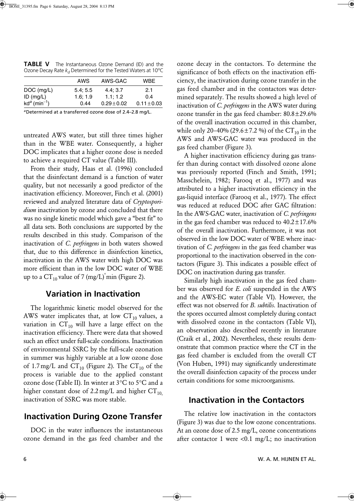|                             | AWS      | AWS-GAC         | WBE             |
|-----------------------------|----------|-----------------|-----------------|
| $DOC$ (mg/L)                | 5.4; 5.5 | 4.4:3.7         | 2.1             |
| $ID$ (mg/L)                 | 1.6:1.9  | 1.1:1.2         | 0.4             |
| $kd^a$ (min <sup>-1</sup> ) | 0.44     | $0.29 \pm 0.02$ | $0.11 \pm 0.03$ |
|                             |          |                 |                 |

**TABLE V** The Instantaneous Ozone Demand (ID) and the Ozone Decay Rate  $k_d$  Determined for the Tested Waters at 10<sup>o</sup>C

*<sup>a</sup>*Determined at a transferred ozone dose of 2.4–2.8 mg/L.

untreated AWS water, but still three times higher than in the WBE water. Consequently, a higher DOC implicates that a higher ozone dose is needed to achieve a required CT value (Table III).

From their study, Haas et al. (1996) concluded that the disinfectant demand is a function of water quality, but not necessarily a good predictor of the inactivation efficiency. Moreover, Finch et al. (2001) reviewed and analyzed literature data of *Cryptosporidium* inactivation by ozone and concluded that there was no single kinetic model which gave a "best fit" to all data sets. Both conclusions are supported by the results described in this study. Comparison of the inactivation of *C. perfringens* in both waters showed that, due to this difference in disinfection kinetics, inactivation in the AWS water with high DOC was more efficient than in the low DOC water of WBE up to a  $CT_{10}$  value of 7 (mg/L)<sup>\*</sup>min (Figure 2).

### **Variation in Inactivation**

The logarithmic kinetic model observed for the AWS water implicates that, at low  $CT_{10}$  values, a variation in  $CT_{10}$  will have a large effect on the inactivation efficiency. There were data that showed such an effect under full-scale conditions. Inactivation of environmental SSRC by the full-scale ozonation in summer was highly variable at a low ozone dose of 1.7 mg/L and  $CT_{10}$  (Figure 2). The  $CT_{10}$  of the process is variable due to the applied constant ozone dose (Table II). In winter at 3°C to 5°C and a higher constant dose of 2.2 mg/L and higher  $CT_{10}$ inactivation of SSRC was more stable.

## **Inactivation During Ozone Transfer**

DOC in the water influences the instantaneous ozone demand in the gas feed chamber and the ozone decay in the contactors. To determine the significance of both effects on the inactivation efficiency, the inactivation during ozone transfer in the gas feed chamber and in the contactors was determined separately. The results showed a high level of inactivation of *C. perfringens* in the AWS water during ozone transfer in the gas feed chamber: 80.8±29.6% of the overall inactivation occurred in this chamber, while only 20–40% (29.6 ± 7.2 %) of the CT<sub>10</sub> in the AWS and AWS-GAC water was produced in the gas feed chamber (Figure 3).

A higher inactivation efficiency during gas transfer than during contact with dissolved ozone alone was previously reported (Finch and Smith, 1991; Masschelein, 1982; Farooq et al., 1977) and was attributed to a higher inactivation efficiency in the gas-liquid interface (Farooq et al., 1977). The effect was reduced at reduced DOC after GAC filtration: In the AWS-GAC water, inactivation of *C. perfringens* in the gas feed chamber was reduced to  $40.2 \pm 17.6\%$ of the overall inactivation. Furthermore, it was not observed in the low DOC water of WBE where inactivation of *C. perfringens* in the gas feed chamber was proportional to the inactivation observed in the contactors (Figure 3). This indicates a possible effect of DOC on inactivation during gas transfer.

Similarly high inactivation in the gas feed chamber was observed for *E. coli* suspended in the AWS and the AWS-EC water (Table VI). However, the effect was not observed for *B. subtilis.* Inactivation of the spores occurred almost completely during contact with dissolved ozone in the contactors (Table VI), an observation also described recently in literature (Craik et al., 2002). Nevertheless, these results demonstrate that common practice where the CT in the gas feed chamber is excluded from the overall CT (Von Huben, 1991) may significantly underestimate the overall disinfection capacity of the process under certain conditions for some microorganisms.

### **Inactivation in the Contactors**

The relative low inactivation in the contactors (Figure 3) was due to the low ozone concentrations. At an ozone dose of 2.5 mg/L, ozone concentrations after contactor 1 were < $0.1 \text{ mg/L}$ ; no inactivation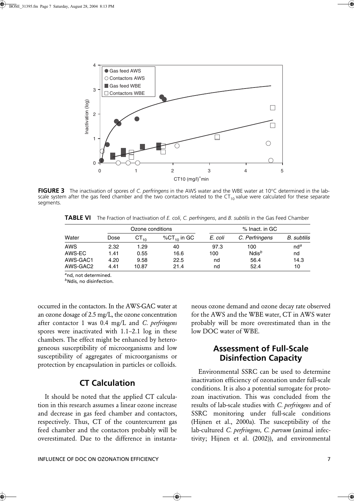

**FIGURE 3** The inactivation of spores of *C. perfringens* in the AWS water and the WBE water at 10°C determined in the labscale system after the gas feed chamber and the two contactors related to the  $CT_{10}$  value were calculated for these separate segments.

**TABLE VI** The Fraction of Inactivation of *E. coli*, *C. perfringens*, and *B. subtilis* in the Gas Feed Chamber

|            | Ozone conditions |           |                   | % Inact. in GC |                |                 |
|------------|------------------|-----------|-------------------|----------------|----------------|-----------------|
| Water      | Dose             | $CT_{10}$ | % $CT_{10}$ in GC | E. coli        | C. Perfringens | B. subtilis     |
| <b>AWS</b> | 2.32             | 1.29      | 40                | 97.3           | 100            | nd <sup>a</sup> |
| AWS-EC     | 1.41             | 0.55      | 16.6              | 100            | $Ndis^b$       | nd              |
| AWS-GAC1   | 4.20             | 9.58      | 22.5              | nd             | 56.4           | 14.3            |
| AWS-GAC2   | 4.41             | 10.87     | 21.4              | nd             | 52.4           | 10              |

*<sup>a</sup>*nd, not determined.

*<sup>b</sup>*Ndis, no disinfection.

occurred in the contactors. In the AWS-GAC water at an ozone dosage of 2.5 mg/L, the ozone concentration after contactor 1 was 0.4 mg/L and *C. perfringens* spores were inactivated with 1.1–2.1 log in these chambers. The effect might be enhanced by heterogeneous susceptibility of microorganisms and low susceptibility of aggregates of microorganisms or protection by encapsulation in particles or colloids.

### **CT Calculation**

It should be noted that the applied CT calculation in this research assumes a linear ozone increase and decrease in gas feed chamber and contactors, respectively. Thus, CT of the countercurrent gas feed chamber and the contactors probably will be overestimated. Due to the difference in instanta-

INFLUENCE OF DOC ON OZONATION EFFICIENCY 7

neous ozone demand and ozone decay rate observed for the AWS and the WBE water, CT in AWS water probably will be more overestimated than in the low DOC water of WBE.

## **Assessment of Full-Scale Disinfection Capacity**

Environmental SSRC can be used to determine inactivation efficiency of ozonation under full-scale conditions. It is also a potential surrogate for protozoan inactivation. This was concluded from the results of lab-scale studies with *C. perfringens* and of SSRC monitoring under full-scale conditions (Hijnen et al., 2000a). The susceptibility of the lab-cultured *C. perfringens, C. parvum* (animal infectivity; Hijnen et al. (2002)), and environmental